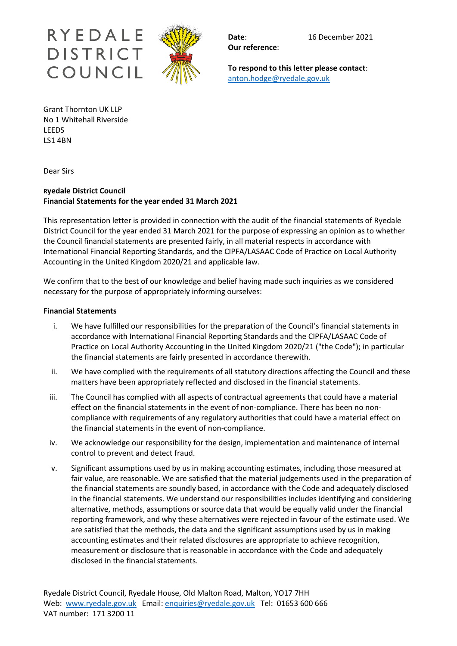

**Our reference**:

**To respond to this letter please contact**: anton.hodge@ryedale.gov.uk

Grant Thornton UK LLP No 1 Whitehall Riverside LEEDS LS1 4BN

Dear Sirs

# **Ryedale District Council Financial Statements for the year ended 31 March 2021**

This representation letter is provided in connection with the audit of the financial statements of Ryedale District Council for the year ended 31 March 2021 for the purpose of expressing an opinion as to whether the Council financial statements are presented fairly, in all material respects in accordance with International Financial Reporting Standards, and the CIPFA/LASAAC Code of Practice on Local Authority Accounting in the United Kingdom 2020/21 and applicable law.

We confirm that to the best of our knowledge and belief having made such inquiries as we considered necessary for the purpose of appropriately informing ourselves:

## **Financial Statements**

- i. We have fulfilled our responsibilities for the preparation of the Council's financial statements in accordance with International Financial Reporting Standards and the CIPFA/LASAAC Code of Practice on Local Authority Accounting in the United Kingdom 2020/21 ("the Code"); in particular the financial statements are fairly presented in accordance therewith.
- ii. We have complied with the requirements of all statutory directions affecting the Council and these matters have been appropriately reflected and disclosed in the financial statements.
- iii. The Council has complied with all aspects of contractual agreements that could have a material effect on the financial statements in the event of non-compliance. There has been no noncompliance with requirements of any regulatory authorities that could have a material effect on the financial statements in the event of non-compliance.
- iv. We acknowledge our responsibility for the design, implementation and maintenance of internal control to prevent and detect fraud.
- v. Significant assumptions used by us in making accounting estimates, including those measured at fair value, are reasonable. We are satisfied that the material judgements used in the preparation of the financial statements are soundly based, in accordance with the Code and adequately disclosed in the financial statements. We understand our responsibilities includes identifying and considering alternative, methods, assumptions or source data that would be equally valid under the financial reporting framework, and why these alternatives were rejected in favour of the estimate used. We are satisfied that the methods, the data and the significant assumptions used by us in making accounting estimates and their related disclosures are appropriate to achieve recognition, measurement or disclosure that is reasonable in accordance with the Code and adequately disclosed in the financial statements.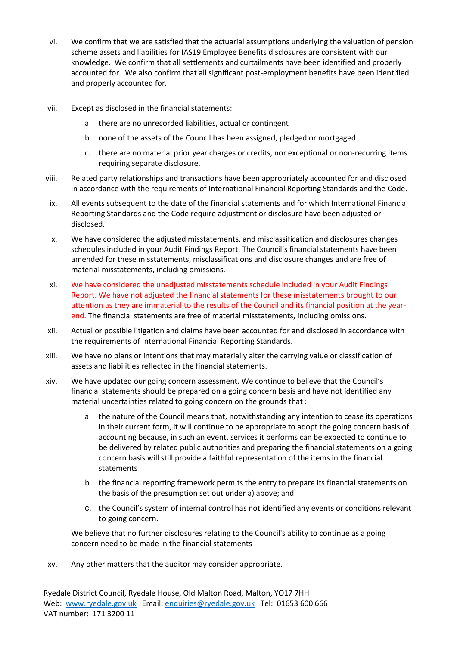- vi. We confirm that we are satisfied that the actuarial assumptions underlying the valuation of pension scheme assets and liabilities for IAS19 Employee Benefits disclosures are consistent with our knowledge. We confirm that all settlements and curtailments have been identified and properly accounted for. We also confirm that all significant post-employment benefits have been identified and properly accounted for.
- vii. Except as disclosed in the financial statements:
	- a. there are no unrecorded liabilities, actual or contingent
	- b. none of the assets of the Council has been assigned, pledged or mortgaged
	- c. there are no material prior year charges or credits, nor exceptional or non-recurring items requiring separate disclosure.
- viii. Related party relationships and transactions have been appropriately accounted for and disclosed in accordance with the requirements of International Financial Reporting Standards and the Code.
- ix. All events subsequent to the date of the financial statements and for which International Financial Reporting Standards and the Code require adjustment or disclosure have been adjusted or disclosed.
- x. We have considered the adjusted misstatements, and misclassification and disclosures changes schedules included in your Audit Findings Report. The Council's financial statements have been amended for these misstatements, misclassifications and disclosure changes and are free of material misstatements, including omissions.
- xi. We have considered the unadjusted misstatements schedule included in your Audit Findings Report. We have not adjusted the financial statements for these misstatements brought to our attention as they are immaterial to the results of the Council and its financial position at the yearend. The financial statements are free of material misstatements, including omissions.
- xii. Actual or possible litigation and claims have been accounted for and disclosed in accordance with the requirements of International Financial Reporting Standards.
- xiii. We have no plans or intentions that may materially alter the carrying value or classification of assets and liabilities reflected in the financial statements.
- xiv. We have updated our going concern assessment. We continue to believe that the Council's financial statements should be prepared on a going concern basis and have not identified any material uncertainties related to going concern on the grounds that :
	- a. the nature of the Council means that, notwithstanding any intention to cease its operations in their current form, it will continue to be appropriate to adopt the going concern basis of accounting because, in such an event, services it performs can be expected to continue to be delivered by related public authorities and preparing the financial statements on a going concern basis will still provide a faithful representation of the items in the financial statements
	- b. the financial reporting framework permits the entry to prepare its financial statements on the basis of the presumption set out under a) above; and
	- c. the Council's system of internal control has not identified any events or conditions relevant to going concern.

We believe that no further disclosures relating to the Council's ability to continue as a going concern need to be made in the financial statements

xv. Any other matters that the auditor may consider appropriate.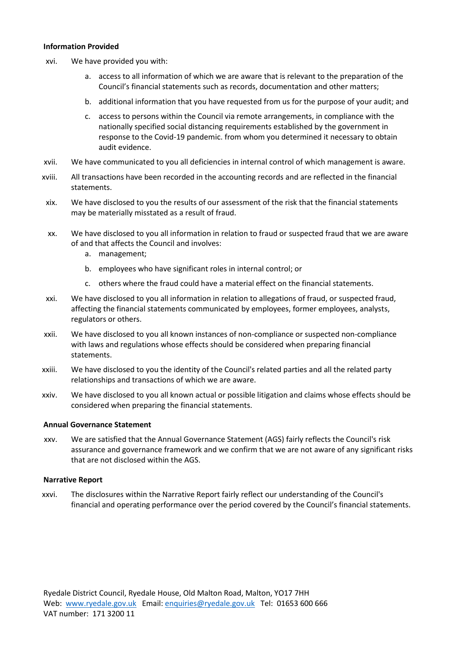### **Information Provided**

- xvi. We have provided you with:
	- a. access to all information of which we are aware that is relevant to the preparation of the Council's financial statements such as records, documentation and other matters;
	- b. additional information that you have requested from us for the purpose of your audit; and
	- c. access to persons within the Council via remote arrangements, in compliance with the nationally specified social distancing requirements established by the government in response to the Covid-19 pandemic. from whom you determined it necessary to obtain audit evidence.
- xvii. We have communicated to you all deficiencies in internal control of which management is aware.
- xviii. All transactions have been recorded in the accounting records and are reflected in the financial statements.
- xix. We have disclosed to you the results of our assessment of the risk that the financial statements may be materially misstated as a result of fraud.
- xx. We have disclosed to you all information in relation to fraud or suspected fraud that we are aware of and that affects the Council and involves:
	- a. management;
	- b. employees who have significant roles in internal control; or
	- c. others where the fraud could have a material effect on the financial statements.
- xxi. We have disclosed to you all information in relation to allegations of fraud, or suspected fraud, affecting the financial statements communicated by employees, former employees, analysts, regulators or others.
- xxii. We have disclosed to you all known instances of non-compliance or suspected non-compliance with laws and regulations whose effects should be considered when preparing financial statements.
- xxiii. We have disclosed to you the identity of the Council's related parties and all the related party relationships and transactions of which we are aware.
- xxiv. We have disclosed to you all known actual or possible litigation and claims whose effects should be considered when preparing the financial statements.

#### **Annual Governance Statement**

xxv. We are satisfied that the Annual Governance Statement (AGS) fairly reflects the Council's risk assurance and governance framework and we confirm that we are not aware of any significant risks that are not disclosed within the AGS.

#### **Narrative Report**

xxvi. The disclosures within the Narrative Report fairly reflect our understanding of the Council's financial and operating performance over the period covered by the Council's financial statements.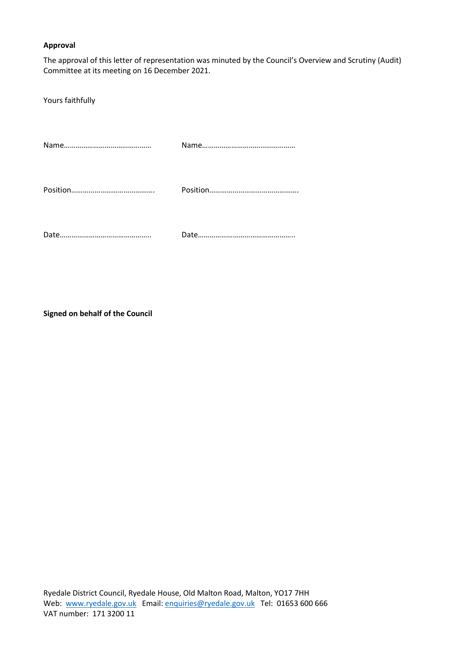## **Approval**

The approval of this letter of representation was minuted by the Council's Overview and Scrutiny (Audit) Committee at its meeting on 16 December 2021.

Yours faithfully

**Signed on behalf of the Council**